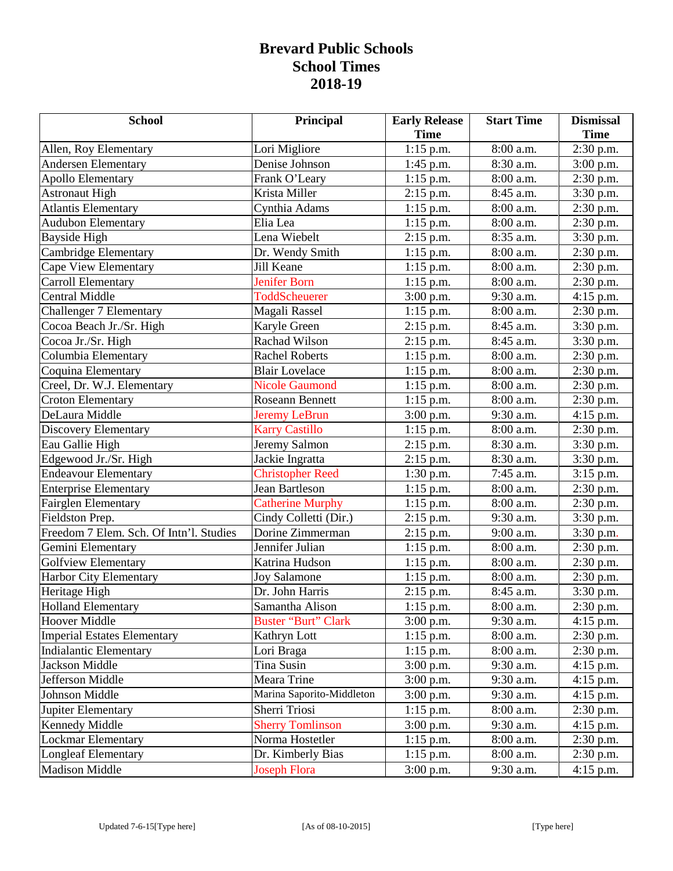## **Brevard Public Schools School Times 2018-19**

| <b>School</b>                           | Principal                  | <b>Early Release</b> | <b>Start Time</b> | <b>Dismissal</b> |
|-----------------------------------------|----------------------------|----------------------|-------------------|------------------|
|                                         |                            | <b>Time</b>          |                   | <b>Time</b>      |
| Allen, Roy Elementary                   | Lori Migliore              | $1:15$ p.m.          | 8:00 a.m.         | 2:30 p.m.        |
| <b>Andersen Elementary</b>              | Denise Johnson             | $1:45$ p.m.          | 8:30 a.m.         | $3:00$ p.m.      |
| <b>Apollo Elementary</b>                | Frank O'Leary              | $1:15$ p.m.          | 8:00 a.m.         | 2:30 p.m.        |
| <b>Astronaut High</b>                   | Krista Miller              | $2:15$ p.m.          | 8:45 a.m.         | 3:30 p.m.        |
| <b>Atlantis Elementary</b>              | Cynthia Adams              | $1:15$ p.m.          | 8:00 a.m.         | 2:30 p.m.        |
| <b>Audubon Elementary</b>               | Elia Lea                   | $1:15$ p.m.          | 8:00 a.m.         | 2:30 p.m.        |
| Bayside High                            | Lena Wiebelt               | $2:15$ p.m.          | 8:35 a.m.         | 3:30 p.m.        |
| Cambridge Elementary                    | Dr. Wendy Smith            | $1:15$ p.m.          | 8:00 a.m.         | 2:30 p.m.        |
| Cape View Elementary                    | Jill Keane                 | $1:15$ p.m.          | 8:00 a.m.         | 2:30 p.m.        |
| Carroll Elementary                      | <b>Jenifer Born</b>        | $1:15$ p.m.          | 8:00 a.m.         | 2:30 p.m.        |
| <b>Central Middle</b>                   | ToddScheuerer              | $3:00$ p.m.          | 9:30 a.m.         | $4:15$ p.m.      |
| Challenger 7 Elementary                 | Magali Rassel              | $1:15$ p.m.          | 8:00 a.m.         | 2:30 p.m.        |
| Cocoa Beach Jr./Sr. High                | Karyle Green               | $2:15$ p.m.          | 8:45 a.m.         | 3:30 p.m.        |
| Cocoa Jr./Sr. High                      | <b>Rachad Wilson</b>       | $2:15$ p.m.          | 8:45 a.m.         | 3:30 p.m.        |
| Columbia Elementary                     | <b>Rachel Roberts</b>      | $1:15$ p.m.          | 8:00 a.m.         | $2:30$ p.m.      |
| Coquina Elementary                      | <b>Blair Lovelace</b>      | $1:15$ p.m.          | 8:00 a.m.         | 2:30 p.m.        |
| Creel, Dr. W.J. Elementary              | <b>Nicole Gaumond</b>      | $1:15$ p.m.          | 8:00 a.m.         | 2:30 p.m.        |
| <b>Croton Elementary</b>                | <b>Roseann Bennett</b>     | $1:15$ p.m.          | 8:00 a.m.         | 2:30 p.m.        |
| DeLaura Middle                          | <b>Jeremy LeBrun</b>       | $3:00$ p.m.          | 9:30 a.m.         | $4:15$ p.m.      |
| <b>Discovery Elementary</b>             | <b>Karry Castillo</b>      | $1:15$ p.m.          | 8:00 a.m.         | 2:30 p.m.        |
| Eau Gallie High                         | Jeremy Salmon              | 2:15 p.m.            | 8:30 a.m.         | 3:30 p.m.        |
| Edgewood Jr./Sr. High                   | Jackie Ingratta            | $2:15$ p.m.          | 8:30 a.m.         | 3:30 p.m.        |
| <b>Endeavour Elementary</b>             | <b>Christopher Reed</b>    | $1:30$ p.m.          | 7:45 a.m.         | 3:15 p.m.        |
| <b>Enterprise Elementary</b>            | Jean Bartleson             | $1:15$ p.m.          | 8:00 a.m.         | 2:30 p.m.        |
| <b>Fairglen Elementary</b>              | <b>Catherine Murphy</b>    | $1:15$ p.m.          | 8:00 a.m.         | 2:30 p.m.        |
| Fieldston Prep.                         | Cindy Colletti (Dir.)      | $2:15$ p.m.          | 9:30 a.m.         | 3:30 p.m.        |
| Freedom 7 Elem. Sch. Of Intn'l. Studies | Dorine Zimmerman           | $2:15$ p.m.          | 9:00 a.m.         | 3:30 p.m.        |
| Gemini Elementary                       | Jennifer Julian            | $1:15$ p.m.          | 8:00 a.m.         | 2:30 p.m.        |
| <b>Golfview Elementary</b>              | Katrina Hudson             | $1:15$ p.m.          | 8:00 a.m.         | 2:30 p.m.        |
| Harbor City Elementary                  | <b>Joy Salamone</b>        | $1:15$ p.m.          | 8:00 a.m.         | 2:30 p.m.        |
| Heritage High                           | Dr. John Harris            | 2:15 p.m.            | 8:45 a.m.         | 3:30 p.m.        |
| Holland Elementary                      | Samantha Alison            | $1:15$ p.m.          | 8:00 a.m.         | 2:30 p.m.        |
| Hoover Middle                           | <b>Buster "Burt" Clark</b> | $3:00$ p.m.          | 9:30 a.m.         | $4:15$ p.m.      |
| <b>Imperial Estates Elementary</b>      | Kathryn Lott               | $1:15$ p.m.          | 8:00 a.m.         | 2:30 p.m.        |
| <b>Indialantic Elementary</b>           | Lori Braga                 | $1:15$ p.m.          | 8:00 a.m.         | 2:30 p.m.        |
| Jackson Middle                          | Tina Susin                 | $3:00$ p.m.          | 9:30 a.m.         | $4:15$ p.m.      |
| Jefferson Middle                        | Meara Trine                | $3:00$ p.m.          | 9:30 a.m.         | $4:15$ p.m.      |
| Johnson Middle                          | Marina Saporito-Middleton  | $3:00$ p.m.          | 9:30 a.m.         | 4:15 p.m.        |
| Jupiter Elementary                      | Sherri Triosi              | $1:15$ p.m.          | 8:00 a.m.         | $2:30$ p.m.      |
| Kennedy Middle                          | <b>Sherry Tomlinson</b>    | 3:00 p.m.            | 9:30 a.m.         | $4:15$ p.m.      |
| Lockmar Elementary                      | Norma Hostetler            | 1:15 p.m.            | 8:00 a.m.         | 2:30 p.m.        |
| <b>Longleaf Elementary</b>              | Dr. Kimberly Bias          | $1:15$ p.m.          | 8:00 a.m.         | $2:30$ p.m.      |
| <b>Madison Middle</b>                   | <b>Joseph Flora</b>        | $3:00$ p.m.          | 9:30 a.m.         | $4:15$ p.m.      |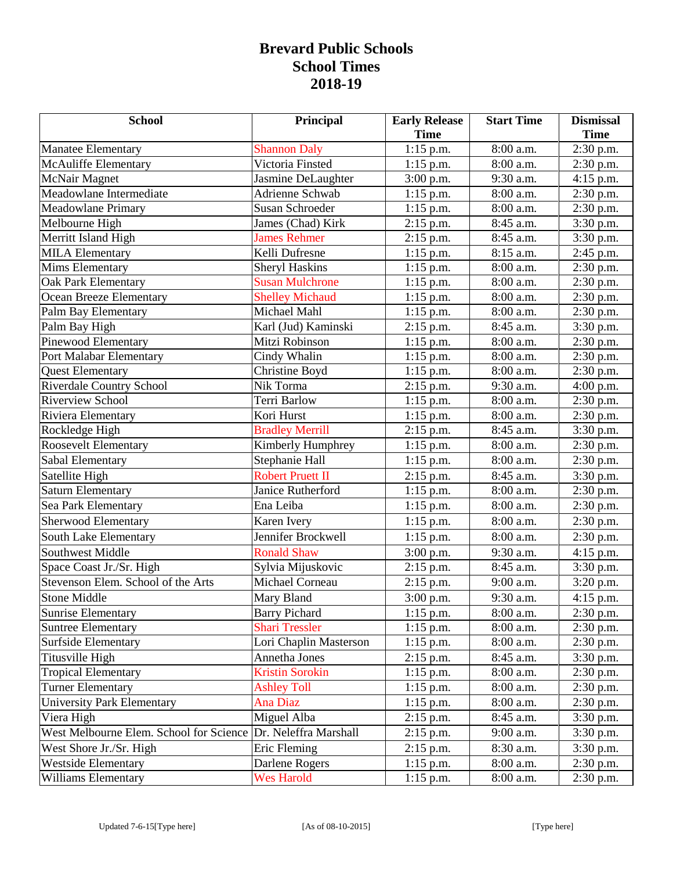## **Brevard Public Schools School Times 2018-19**

| <b>School</b>                           | Principal               | <b>Early Release</b> | <b>Start Time</b>       | <b>Dismissal</b> |
|-----------------------------------------|-------------------------|----------------------|-------------------------|------------------|
|                                         |                         | <b>Time</b>          |                         | <b>Time</b>      |
| <b>Manatee Elementary</b>               | <b>Shannon Daly</b>     | $1:15$ p.m.          | 8:00 a.m.               | $2:30$ p.m.      |
| <b>McAuliffe Elementary</b>             | Victoria Finsted        | $1:15$ p.m.          | 8:00 a.m.               | $2:30$ p.m.      |
| McNair Magnet                           | Jasmine DeLaughter      | 3:00 p.m.            | 9:30 a.m.               | 4:15 p.m.        |
| Meadowlane Intermediate                 | <b>Adrienne Schwab</b>  | $1:15$ p.m.          | 8:00 a.m.               | 2:30 p.m.        |
| Meadowlane Primary                      | <b>Susan Schroeder</b>  | $1:15$ p.m.          | 8:00 a.m.               | 2:30 p.m.        |
| Melbourne High                          | James (Chad) Kirk       | $2:15$ p.m.          | 8:45 a.m.               | 3:30 p.m.        |
| Merritt Island High                     | <b>James Rehmer</b>     | $2:15$ p.m.          | 8:45 a.m.               | 3:30 p.m.        |
| <b>MILA Elementary</b>                  | Kelli Dufresne          | $1:15$ p.m.          | 8:15 a.m.               | 2:45 p.m.        |
| <b>Mims Elementary</b>                  | <b>Sheryl Haskins</b>   | $1:15$ p.m.          | $8:00$ a.m.             | 2:30 p.m.        |
| <b>Oak Park Elementary</b>              | <b>Susan Mulchrone</b>  | $1:15$ p.m.          | 8:00 a.m.               | 2:30 p.m.        |
| <b>Ocean Breeze Elementary</b>          | <b>Shelley Michaud</b>  | $1:15$ p.m.          | 8:00 a.m.               | 2:30 p.m.        |
| Palm Bay Elementary                     | Michael Mahl            | $1:15$ p.m.          | 8:00 a.m.               | 2:30 p.m.        |
| Palm Bay High                           | Karl (Jud) Kaminski     | $2:15$ p.m.          | 8:45 a.m.               | 3:30 p.m.        |
| Pinewood Elementary                     | Mitzi Robinson          | $1:15$ p.m.          | 8:00 a.m.               | 2:30 p.m.        |
| Port Malabar Elementary                 | Cindy Whalin            | $1:15$ p.m.          | 8:00 a.m.               | $2:30$ p.m.      |
| <b>Quest Elementary</b>                 | Christine Boyd          | $1:15$ p.m.          | 8:00 a.m.               | 2:30 p.m.        |
| Riverdale Country School                | Nik Torma               | $2:15$ p.m.          | 9:30 a.m.               | 4:00 p.m.        |
| <b>Riverview School</b>                 | Terri Barlow            | $1:15$ p.m.          | 8:00 a.m.               | 2:30 p.m.        |
| Riviera Elementary                      | Kori Hurst              | $1:15$ p.m.          | 8:00 a.m.               | $2:30$ p.m.      |
| Rockledge High                          | <b>Bradley Merrill</b>  | $2:15$ p.m.          | 8:45 a.m.               | 3:30 p.m.        |
| Roosevelt Elementary                    | Kimberly Humphrey       | $1:15$ p.m.          | 8:00 a.m.               | 2:30 p.m.        |
| Sabal Elementary                        | Stephanie Hall          | $1:15$ p.m.          | 8:00 a.m.               | 2:30 p.m.        |
| Satellite High                          | <b>Robert Pruett II</b> | $2:15$ p.m.          | 8:45 a.m.               | 3:30 p.m.        |
| <b>Saturn Elementary</b>                | Janice Rutherford       | $1:15$ p.m.          | 8:00 a.m.               | 2:30 p.m.        |
| Sea Park Elementary                     | Ena Leiba               | $1:15$ p.m.          | 8:00 a.m.               | 2:30 p.m.        |
| Sherwood Elementary                     | Karen Ivery             | $1:15$ p.m.          | 8:00 a.m.               | $2:30$ p.m.      |
| South Lake Elementary                   | Jennifer Brockwell      | $1:15$ p.m.          | 8:00 a.m.               | 2:30 p.m.        |
| Southwest Middle                        | <b>Ronald Shaw</b>      | 3:00 p.m.            | $\overline{9}$ :30 a.m. | $4:15$ p.m.      |
| Space Coast Jr./Sr. High                | Sylvia Mijuskovic       | $2:15$ p.m.          | 8:45 a.m.               | 3:30 p.m.        |
| Stevenson Elem. School of the Arts      | Michael Corneau         | $2:15$ p.m.          | 9:00 a.m.               | 3:20 p.m.        |
| <b>Stone Middle</b>                     | Mary Bland              | 3:00 p.m.            | 9:30 a.m.               | $4:15$ p.m.      |
| <b>Sunrise Elementary</b>               | <b>Barry Pichard</b>    | $1:15$ p.m.          | 8:00 a.m.               | 2:30 p.m.        |
| <b>Suntree Elementary</b>               | <b>Shari Tressler</b>   | $1:15$ p.m.          | 8:00 a.m.               | $2:30$ p.m.      |
| <b>Surfside Elementary</b>              | Lori Chaplin Masterson  | $1:15$ p.m.          | 8:00 a.m.               | 2:30 p.m.        |
| Titusville High                         | Annetha Jones           | $2:15$ p.m.          | 8:45 a.m.               | 3:30 p.m.        |
| <b>Tropical Elementary</b>              | <b>Kristin Sorokin</b>  | $1:15$ p.m.          | 8:00 a.m.               | $2:30$ p.m.      |
| <b>Turner Elementary</b>                | <b>Ashley Toll</b>      | $1:15$ p.m.          | 8:00 a.m.               | $2:30$ p.m.      |
| <b>University Park Elementary</b>       | <b>Ana Diaz</b>         | $1:15$ p.m.          | 8:00 a.m.               | 2:30 p.m.        |
| Viera High                              | Miguel Alba             | $2:15$ p.m.          | 8:45 a.m.               | 3:30 p.m.        |
| West Melbourne Elem. School for Science | Dr. Neleffra Marshall   | $2:15$ p.m.          | 9:00 a.m.               | 3:30 p.m.        |
| West Shore Jr./Sr. High                 | Eric Fleming            | $2:15$ p.m.          | 8:30 a.m.               | 3:30 p.m.        |
| <b>Westside Elementary</b>              | Darlene Rogers          | $1:15$ p.m.          | 8:00 a.m.               | 2:30 p.m.        |
| Williams Elementary                     | <b>Wes Harold</b>       | $1:15$ p.m.          | 8:00 a.m.               | 2:30 p.m.        |